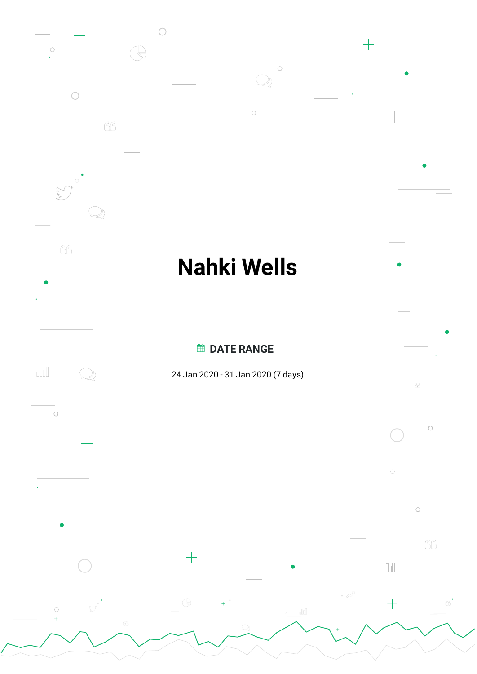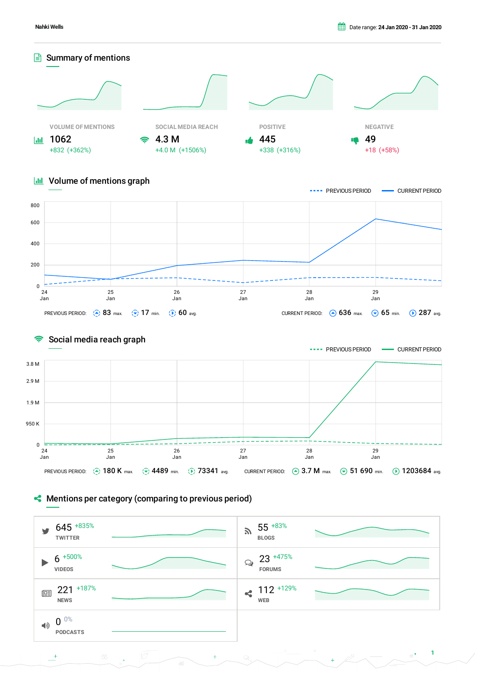

## **III** Volume of mentions graph





## **Mentions per category (comparing to previous period)**

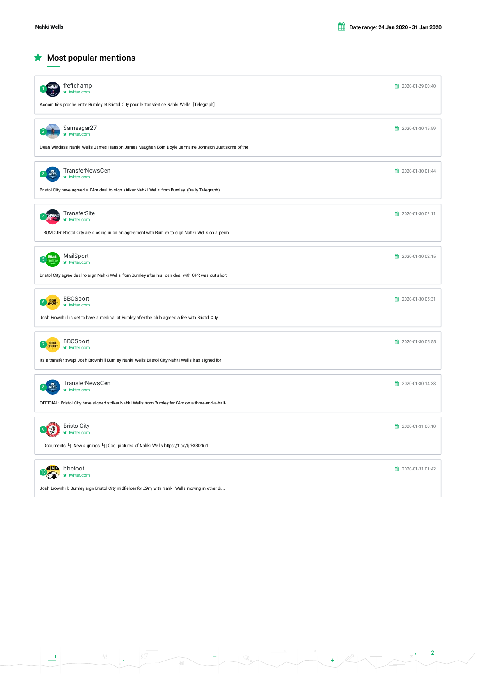$\bigstar$  Most popular mentions

| freflchamp<br>■ twitter.com                                                                         | 第 2020-01-29 00:40        |
|-----------------------------------------------------------------------------------------------------|---------------------------|
| Accord très proche entre Burnley et Bristol City pour le transfert de Nahki Wells. [Telegraph]      |                           |
| Samsagar27<br>witter.com                                                                            | <b>前 2020-01-30 15:59</b> |
| Dean Windass Nahki Wells James Hanson James Vaughan Eoin Doyle Jermaine Johnson Just some of the    |                           |
| TransferNewsCen<br>w twitter.com                                                                    | ■ 2020-01-30 01:44        |
| Bristol City have agreed a £4m deal to sign striker Nahki Wells from Burnley. (Daily Telegraph)     |                           |
| TransferSite<br><b>RANSFER</b><br>witter.com                                                        | <b>前</b> 2020-01-30 02:11 |
| □ RUMOUR: Bristol City are closing in on an agreement with Burnley to sign Nahki Wells on a perm    |                           |
| MailSport<br>Mail<br>5<br>■ twitter.com                                                             | ● 2020-01-30 02:15        |
| Bristol City agree deal to sign Nahki Wells from Burnley after his loan deal with QPR was cut short |                           |
| <b>BBCSport</b><br>6 SPORT<br>■ twitter.com                                                         | <b>前</b> 2020-01-30 05:31 |
| Josh Brownhill is set to have a medical at Burnley after the club agreed a fee with Bristol City.   |                           |
| <b>BBCSport</b><br>008<br>SPORT<br>■ twitter.com                                                    | <b>前 2020-01-30 05:55</b> |
| Its a transfer swap! Josh Brownhill Burnley Nahki Wells Bristol City Nahki Wells has signed for     |                           |
| TransferNewsCen<br>w twitter.com                                                                    | <b>前 2020-01-30 14:38</b> |
| OFFICIAL: Bristol City have signed striker Nahki Wells from Burnley for £4m on a three-and-a-half-  |                           |
| <b>BristolCity</b><br>$\frac{1}{2}$<br>$\blacktriangleright$ twitter.com                            | 10 2020-01-31 00:10       |
| □ Documents 니 New signings 니 Cool pictures of Nahki Wells https://t.co/ljrP33D1u1                   |                           |
| <b>ABL</b> bbcfoot<br>$\blacktriangleright$ twitter.com                                             | ● 2020-01-31 01:42        |
| Josh Brownhill: Burnley sign Bristol City midfielder for £9m, with Nahki Wells moving in other di   |                           |

 $-66$ 

 $\bullet$ 

 $\rightarrow$ 

 $\begin{tabular}{|c|c|} \hline \rule{0.2cm}{.04cm} \rule{0.2cm}{.04cm} \rule{0.2cm}{.04cm} \rule{0.2cm}{.04cm} \rule{0.2cm}{.04cm} \rule{0.2cm}{.04cm} \rule{0.2cm}{.04cm} \rule{0.2cm}{.04cm} \rule{0.2cm}{.04cm} \rule{0.2cm}{.04cm} \rule{0.2cm}{.04cm} \rule{0.2cm}{.04cm} \rule{0.2cm}{.04cm} \rule{0.2cm}{.04cm} \rule{0.2cm}{.04cm} \rule{0.2cm}{.0$ 

 $\overline{\phantom{a}}$ 

 $\begin{array}{ccccccccc}\n\circ & & & & & & \circ \\
\hline\n\circ & & & & & & \circ \\
\hline\n\end{array}$ 

 $+ 2$ 

**2**

 $_{\odot}$  .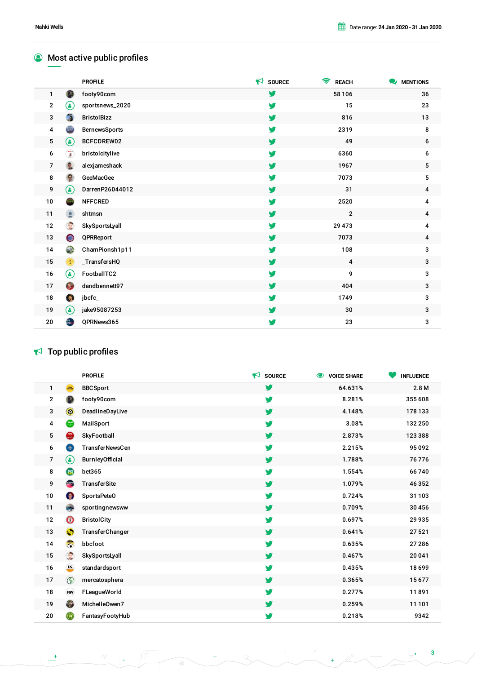## **Most active public profiles**

|                |                              | <b>PROFILE</b>       | $\blacktriangleright$ SOURCE | ຣ<br><b>REACH</b> | MENTIONS         |
|----------------|------------------------------|----------------------|------------------------------|-------------------|------------------|
| $\mathbf{1}$   | $\bullet$                    | footy90com           | V                            | 58 106            | 36               |
| $\mathbf{2}$   | (4)                          | sportsnews_2020      | y                            | 15                | 23               |
| 3              | GH.                          | <b>BristolBizz</b>   | y                            | 816               | 13               |
| 4              | $\qquad \qquad \blacksquare$ | <b>BernewsSports</b> | V                            | 2319              | 8                |
| 5              | ◉                            | BCFCDREW02           | y                            | 49                | 6                |
| 6              | $\widehat{\mathbf{z}}$       | bristolcitylive      | y                            | 6360              | 6                |
| $\overline{7}$ | <b>R</b>                     | alexjameshack        | y                            | 1967              | $5\phantom{.0}$  |
| 8              | Θ                            | GeeMacGee            | y                            | 7073              | 5                |
| 9              | 9                            | DarrenP26044012      | y                            | 31                | 4                |
| 10             |                              | <b>NFFCRED</b>       | y                            | 2520              | 4                |
| 11             | $\bullet$                    | shtmsn               | v                            | $\overline{2}$    | $\boldsymbol{4}$ |
| 12             | C                            | SkySportsLyall       | V                            | 29 4 73           | 4                |
| 13             | $\bullet$                    | QPRReport            | v                            | 7073              | 4                |
| 14             | C                            | ChamPionsh1p11       | y                            | 108               | 3                |
| 15             | $\frac{B}{A}$                | _TransfersHQ         | y                            | $\overline{4}$    | 3                |
| 16             | ◉                            | FootballTC2          | y                            | 9                 | 3                |
| 17             | $\bullet$                    | dandbennett97        | v                            | 404               | 3                |
| 18             | $\overline{2}$               | jbcfc_               | y                            | 1749              | 3                |
| 19             | ۷                            | jake95087253         | y                            | 30                | 3                |
| 20             | GER<br>Naturalist            | QPRNews365           | y                            | 23                | 3                |

# $\blacktriangleright$  Top public profiles

|                |                | <b>PROFILE</b>         | $\blacktriangleright$ SOURCE | $\bullet$<br><b>VOICE SHARE</b> | <b>INFLUENCE</b> |
|----------------|----------------|------------------------|------------------------------|---------------------------------|------------------|
| 1              | SPORT          | <b>BBCSport</b>        | v                            | 64.631%                         | 2.8M             |
| $\mathbf 2$    |                | footy90com             | v                            | 8.281%                          | 355 608          |
| 3              | $\circledcirc$ | DeadlineDayLive        | v                            | 4.148%                          | 178 133          |
| 4              | Riatil         | MailSport              | V                            | 3.08%                           | 132 250          |
| 5              | <b>City</b>    | SkyFootball            | y                            | 2.873%                          | 123 388          |
| 6              | $\bigoplus$    | <b>TransferNewsCen</b> | v                            | 2.215%                          | 95092            |
| $\overline{7}$ | ۸              | BurnleyOfficial        | y                            | 1.788%                          | 76 776           |
| 8              | 思              | bet365                 | y                            | 1.554%                          | 66740            |
| 9              | TRANSPER       | <b>TransferSite</b>    | y                            | 1.079%                          | 46352            |
| 10             | $\bullet$      | SportsPeteO            | y                            | 0.724%                          | 31 103           |
| 11             | $\bigoplus$    | sportingnewsww         | v                            | 0.709%                          | 30 45 6          |
| 12             | $\circledcirc$ | <b>BristolCity</b>     | v                            | 0.697%                          | 29 9 35          |
| 13             | Θ              | TransferChanger        | v                            | 0.641%                          | 27521            |
| 14             | <b>SER</b>     | bbcfoot                | V                            | 0.635%                          | 27 28 6          |
| 15             | C              | SkySportsLyall         | v                            | 0.467%                          | 20 041           |
| 16             | ES             | standardsport          | y                            | 0.435%                          | 18699            |
| 17             | $\circ$        | mercatosphera          | v                            | 0.365%                          | 15677            |
| 18             | FUV            | FLeagueWorld           | y                            | 0.277%                          | 11891            |
| 19             | 3              | MichelleOwen7          | v                            | 0.259%                          | 11 101           |
| 20             | $\bigoplus$    | FantasyFootyHub        | V                            | 0.218%                          | 9342             |

 $\mathcal{Q}_i$ 

 $+$ 

 $_{\rm dcl}$ 

 $\sqrt{66}$ 

 $\ddot{\phantom{0}}$ 

 $\overline{\mathbb{S}^{\mathcal{T}}}$ 

 $_{66}$   $^{\bullet}$ 

N)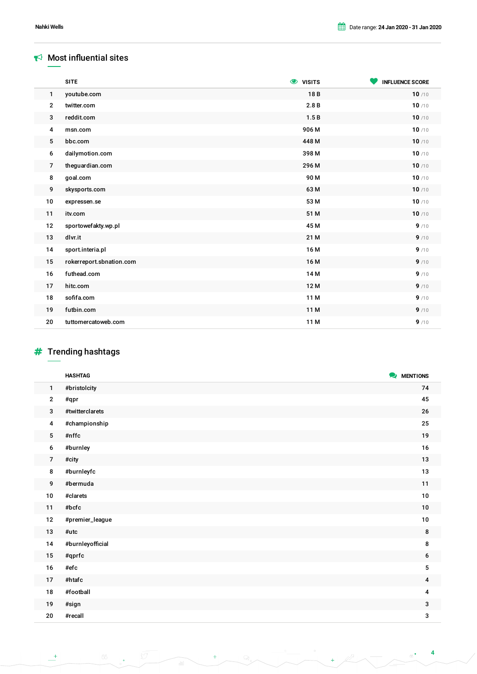#### $\blacktriangleright$  Most influential sites

|                | <b>SITE</b>              | <b>O</b> VISITS | <b>INFLUENCE SCORE</b> |
|----------------|--------------------------|-----------------|------------------------|
| 1              | youtube.com              | 18B             | 10/10                  |
| $\mathbf{2}$   | twitter.com              | 2.8B            | 10/10                  |
| 3              | reddit.com               | 1.5B            | 10/10                  |
| 4              | msn.com                  | 906 M           | 10/10                  |
| 5              | bbc.com                  | 448 M           | 10/10                  |
| 6              | dailymotion.com          | 398 M           | 10/10                  |
| $\overline{7}$ | theguardian.com          | 296 M           | 10/10                  |
| 8              | goal.com                 | 90 M            | 10/10                  |
| 9              | skysports.com            | 63 M            | 10/10                  |
| 10             | expressen.se             | 53 M            | 10/10                  |
| 11             | itv.com                  | 51 M            | 10/10                  |
| 12             | sportowefakty.wp.pl      | 45 M            | 9/10                   |
| 13             | dlvr.it                  | 21 M            | 9/10                   |
| 14             | sport.interia.pl         | 16 M            | 9/10                   |
| 15             | rokerreport.sbnation.com | 16 M            | 9/10                   |
| 16             | futhead.com              | 14 <sub>M</sub> | 9/10                   |
| 17             | hitc.com                 | 12 M            | 9/10                   |
| 18             | sofifa.com               | 11 M            | 9/10                   |
| 19             | futbin.com               | 11 M            | 9/10                   |
| 20             | tuttomercatoweb.com      | 11 M            | 9/10                   |

# $#$  Trending hashtags

|                | <b>HASHTAG</b>           | MENTIONS         |
|----------------|--------------------------|------------------|
| 1              | #bristolcity             | 74               |
| $\mathbf{2}$   | #qpr                     | 45               |
| 3              | #twitterclarets          | 26               |
| 4              | #championship            | 25               |
| 5              | #nffc                    | 19               |
| 6              | #burnley                 | $16\,$           |
| $\overline{7}$ | #city                    | $13\,$           |
| 8              | #burnleyfc               | $13$             |
| 9              | #bermuda                 | 11               |
| $10\,$         | #clarets                 | 10               |
| 11             | $\#$ bcfc                | 10               |
| $12$           | #premier_league          | 10               |
| $13\,$         | $#$ utc                  | 8                |
| $14$           | #burnleyofficial         | 8                |
| $15\,$         | #qprfc                   | 6                |
| $16\,$         | $\# {\sf ef} \mathtt{c}$ | $\mathbf 5$      |
| 17             | #htafc                   | $\boldsymbol{4}$ |
| ${\bf 18}$     | #football                | 4                |
| 19             | #sign                    | 3                |
| 20             | #recall                  | 3                |

 $\mathcal{Q}$ 

 $+$ 

olol

 $\ddot{\bullet}$ 

 $\frac{1}{\sqrt{2}}$ 

 $\frac{1}{\sqrt{2}}$ 

i<br>N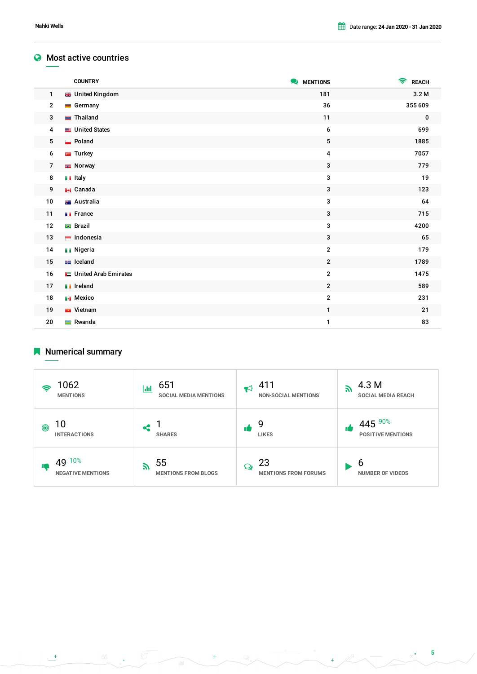#### **Most active countries**

|                | <b>COUNTRY</b>           | MENTIONS     | $\widehat{\mathbf{z}}$<br><b>REACH</b> |
|----------------|--------------------------|--------------|----------------------------------------|
| $\mathbf{1}$   | <b>BB</b> United Kingdom | 181          | 3.2 M                                  |
| $\overline{2}$ | $\blacksquare$ Germany   | 36           | 355 609                                |
| 3              | $\equiv$ Thailand        | 11           | 0                                      |
| 4              | United States            | 6            | 699                                    |
| 5              | Poland                   | 5            | 1885                                   |
| 6              | <b>G</b> Turkey          | 4            | 7057                                   |
| $\overline{7}$ | <b>B</b> Norway          | 3            | 779                                    |
| 8              | <b>n</b> Italy           | 3            | 19                                     |
| 9              | <b>H</b> Canada          | 3            | 123                                    |
| 10             | <b>Australia</b>         | 3            | 64                                     |
| 11             | <b>T</b> France          | 3            | 715                                    |
| 12             | <b>Brazil</b>            | 3            | 4200                                   |
| 13             | $\blacksquare$ Indonesia | 3            | 65                                     |
| 14             | <b>Nigeria</b>           | $\mathbf 2$  | 179                                    |
| 15             | $\equiv$ Iceland         | $\mathbf{2}$ | 1789                                   |
| 16             | United Arab Emirates     | $\mathbf 2$  | 1475                                   |
| 17             | <b>T</b> Ireland         | $\mathbf{2}$ | 589                                    |
| 18             | <b>Nexico</b>            | $\mathbf 2$  | 231                                    |
| 19             | <b>N</b> Vietnam         | $\mathbf{1}$ | 21                                     |
| 20             | $\blacksquare$ Rwanda    | 1            | 83                                     |

# Numerical summary

| 1062<br>6<br><b>MENTIONS</b>                | 651<br> Jil<br><b>SOCIAL MEDIA MENTIONS</b>      | 411<br>K<br><b>NON-SOCIAL MENTIONS</b> | 4.3 M<br>51<br><b>SOCIAL MEDIA REACH</b> |
|---------------------------------------------|--------------------------------------------------|----------------------------------------|------------------------------------------|
| 10<br>$\circledcirc$<br><b>INTERACTIONS</b> | <b>SHARES</b>                                    | g<br><b>LIKES</b>                      | 445 90%<br><b>POSITIVE MENTIONS</b>      |
| 49 10%<br><b>NEGATIVE MENTIONS</b>          | 55<br>$\mathbf{z}$<br><b>MENTIONS FROM BLOGS</b> | 23<br>Q<br><b>MENTIONS FROM FORUMS</b> | ь<br><b>NUMBER OF VIDEOS</b>             |

 $66$ 

 $\begin{tabular}{|c|c|} \hline \rule{0.2cm}{.04cm} \rule{0.2cm}{.04cm} \rule{0.2cm}{.04cm} \rule{0.2cm}{.04cm} \rule{0.2cm}{.04cm} \rule{0.2cm}{.04cm} \rule{0.2cm}{.04cm} \rule{0.2cm}{.04cm} \rule{0.2cm}{.04cm} \rule{0.2cm}{.04cm} \rule{0.2cm}{.04cm} \rule{0.2cm}{.04cm} \rule{0.2cm}{.04cm} \rule{0.2cm}{.04cm} \rule{0.2cm}{.04cm} \rule{0.2cm}{.0$ 

 $\sim$   $\Omega$ 

 $\frac{1}{\sqrt{2}}$ 

 $\begin{picture}(180,10) \put(0,0){\line(1,0){10}} \put(10,0){\line(1,0){10}} \put(10,0){\line(1,0){10}} \put(10,0){\line(1,0){10}} \put(10,0){\line(1,0){10}} \put(10,0){\line(1,0){10}} \put(10,0){\line(1,0){10}} \put(10,0){\line(1,0){10}} \put(10,0){\line(1,0){10}} \put(10,0){\line(1,0){10}} \put(10,0){\line(1,0){10}} \put(10,0){\line($ 

 $\begin{array}{c|c|c|c} \hline & \mathcal{A} & \mathcal{A} & \mathcal{A} & \mathcal{A} & \mathcal{A} & \mathcal{A} & \mathcal{A} & \mathcal{A} & \mathcal{A} & \mathcal{A} & \mathcal{A} & \mathcal{A} & \mathcal{A} & \mathcal{A} & \mathcal{A} & \mathcal{A} & \mathcal{A} & \mathcal{A} & \mathcal{A} & \mathcal{A} & \mathcal{A} & \mathcal{A} & \mathcal{A} & \mathcal{A} & \mathcal{A} & \mathcal{A} & \mathcal{A} & \mathcal{A} & \mathcal{A} &$